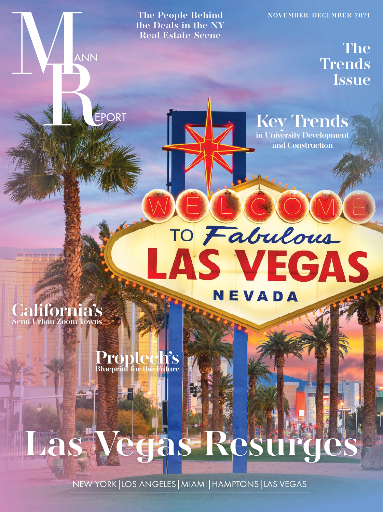The People Behind NOVEMBER/DECEMBER 2021

**Key Trends in University Development and Construction**

TO Fabulous

LAS VEGAS

NEVADA

**the Deals in the NY Real Estate Scene**

**The Trends Issue**



99 89 89 89 89 89 8

ANN

**PORT** 

## **Proptech's Blueprint for the Future**

## **Las Vegas Resurges**

NEW YORK|LOS ANGELES|MIAMI|HAMPTONS|LAS VEGAS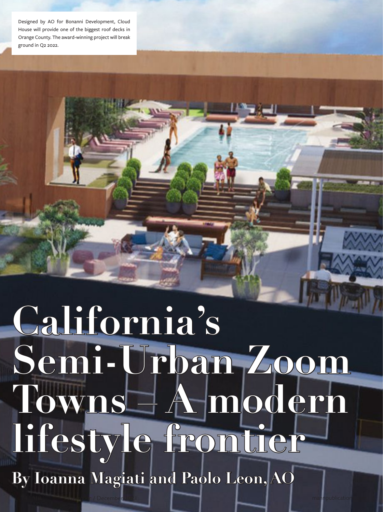Designed by AO for Bonanni Development, Cloud House will provide one of the biggest roof decks in Orange County. The award-winning project will break ground in Q2 2022.

# **California's Semi-Urban Zoom Towns – A modern lifestyle frontier**

74 NR November / December 2021 Mann December 2021 mannpublications.com

**By Ioanna Magiati and Paolo Leon, AO**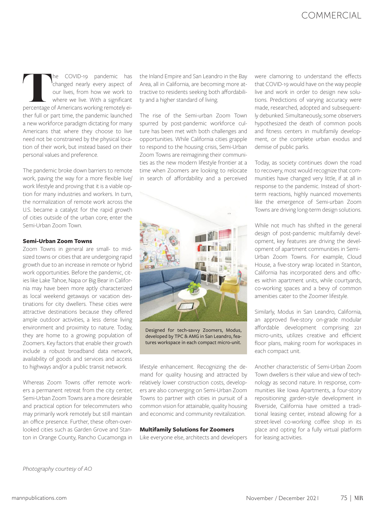### **COMMERCIAL**

The COVID-19 pandemic has changed nearly every aspect of our lives, from how we work to where we live. With a significant percentage of Americans working remotely eichanged nearly every aspect of our lives, from how we work to where we live. With a significant ther full or part time, the pandemic launched a new workforce paradigm dictating for many Americans that where they choose to live need not be constrained by the physical location of their work, but instead based on their personal values and preference.

The pandemic broke down barriers to remote work, paving the way for a more flexible live/ work lifestyle and proving that it is a viable option for many industries and workers. In turn, the normalization of remote work across the U.S. became a catalyst for the rapid growth of cities outside of the urban core; enter the Semi-Urban Zoom Town.

#### **Semi-Urban Zoom Towns**

Zoom Towns in general are small- to midsized towns or cities that are undergoing rapid growth due to an increase in remote or hybrid work opportunities. Before the pandemic, cities like Lake Tahoe, Napa or Big Bear in California may have been more aptly characterized as local weekend getaways or vacation destinations for city dwellers. These cities were attractive destinations because they offered ample outdoor activities, a less dense living environment and proximity to nature. Today, they are home to a growing population of Zoomers. Key factors that enable their growth include a robust broadband data network, availability of goods and services and access to highways and/or a public transit network.

Whereas Zoom Towns offer remote workers a permanent retreat from the city center, Semi-Urban Zoom Towns are a more desirable and practical option for telecommuters who may primarily work remotely but still maintain an office presence. Further, these often-overlooked cities such as Garden Grove and Stanton in Orange County, Rancho Cucamonga in the Inland Empire and San Leandro in the Bay Area, all in California, are becoming more attractive to residents seeking both affordability and a higher standard of living.

The rise of the Semi-urban Zoom Town spurred by post-pandemic workforce culture has been met with both challenges and opportunities. While California cities grapple to respond to the housing crisis, Semi-Urban Zoom Towns are reimagining their communities as the new modern lifestyle frontier at a time when Zoomers are looking to relocate in search of affordability and a perceived



Designed for tech-savvy Zoomers, Modus, developed by TPC & AMG in San Leandro, features workspace in each compact micro-unit.

lifestyle enhancement. Recognizing the demand for quality housing and attracted by relatively lower construction costs, developers are also converging on Semi-Urban Zoom Towns to partner with cities in pursuit of a common vision for attainable, quality housing and economic and community revitalization.

#### **Multifamily Solutions for Zoomers**

Like everyone else, architects and developers

were clamoring to understand the effects that COVID-19 would have on the way people live and work in order to design new solutions. Predictions of varying accuracy were made, researched, adopted and subsequently debunked. Simultaneously, some observers hypothesized the death of common pools and fitness centers in multifamily development, or the complete urban exodus and demise of public parks.

Today, as society continues down the road to recovery, most would recognize that communities have changed very little, if at all in response to the pandemic. Instead of shortterm reactions, highly nuanced movements like the emergence of Semi-urban Zoom Towns are driving long-term design solutions.

While not much has shifted in the general design of post-pandemic multifamily development, key features are driving the development of apartment communities in Semi-Urban Zoom Towns. For example, Cloud House, a five-story wrap located in Stanton, California has incorporated dens and offices within apartment units, while courtyards, co-working spaces and a bevy of common amenities cater to the Zoomer lifestyle.

Similarly, Modus in San Leandro, California, an approved five-story on-grade modular affordable development comprising 221 micro-units, utilizes creative and efficient floor plans, making room for workspaces in each compact unit.

Another characteristic of Semi-Urban Zoom Town dwellers is their value and view of technology as second nature. In response, communities like Iowa Apartments, a four-story repositioning garden-style development in Riverside, California have omitted a traditional leasing center, instead allowing for a street-level co-working coffee shop in its place and opting for a fully virtual platform for leasing activities.